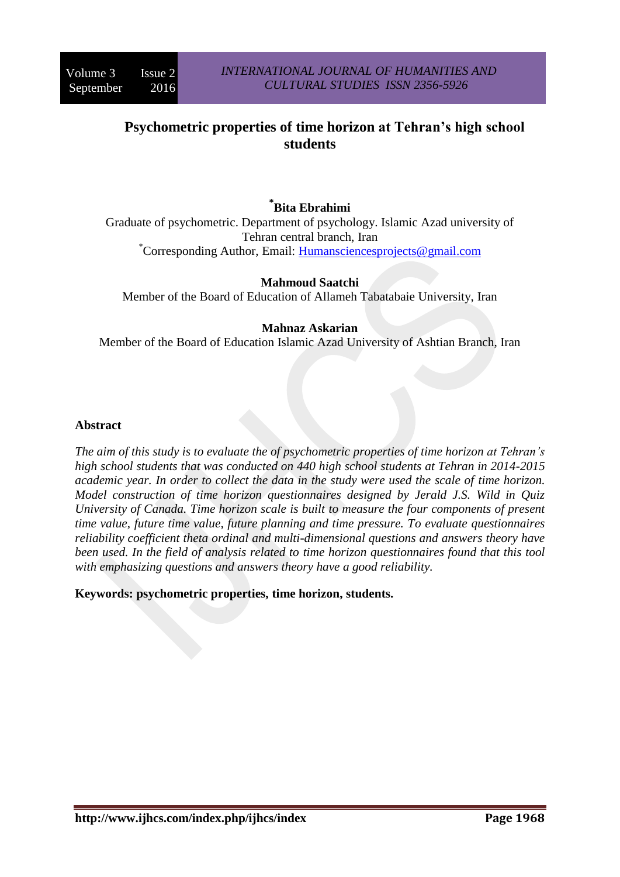# **Psychometric properties of time horizon at Tehran's high school students**

# **\* Bita Ebrahimi**

Graduate of psychometric. Department of psychology. Islamic Azad university of Tehran central branch, Iran \*Corresponding Author, Email: [Humansciencesprojects@gmail.com](mailto:Humansciencesprojects@gmail.com)

## **Mahmoud Saatchi**

Member of the Board of Education of Allameh Tabatabaie University, Iran

## **Mahnaz Askarian**

Member of the Board of Education Islamic Azad University of Ashtian Branch, Iran

#### **Abstract**

*The aim of this study is to evaluate the of psychometric properties of time horizon at Tehran's high school students that was conducted on 440 high school students at Tehran in 2014-2015 academic year. In order to collect the data in the study were used the scale of time horizon. Model construction of time horizon questionnaires designed by Jerald J.S. Wild in Quiz University of Canada. Time horizon scale is built to measure the four components of present time value, future time value, future planning and time pressure. To evaluate questionnaires reliability coefficient theta ordinal and multi-dimensional questions and answers theory have been used. In the field of analysis related to time horizon questionnaires found that this tool with emphasizing questions and answers theory have a good reliability.*

#### **Keywords: psychometric properties, time horizon, students.**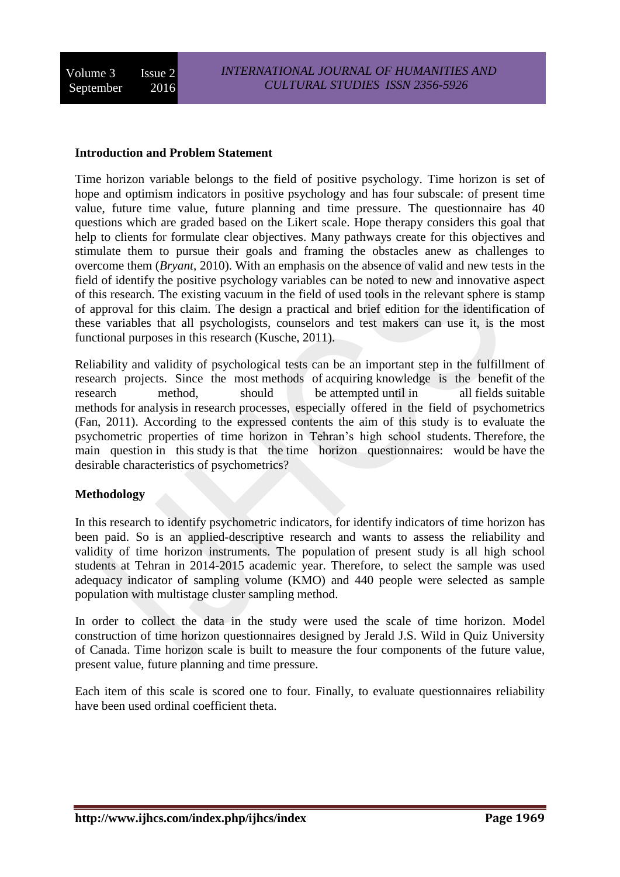### **Introduction and Problem Statement**

Time horizon variable belongs to the field of positive psychology. Time horizon is set of hope and optimism indicators in positive psychology and has four subscale: of present time value, future time value, future planning and time pressure. The questionnaire has 40 questions which are graded based on the Likert scale. Hope therapy considers this goal that help to clients for formulate clear objectives. Many pathways create for this objectives and stimulate them to pursue their goals and framing the obstacles anew as challenges to overcome them (*Bryant*, 2010). With an emphasis on the absence of valid and new tests in the field of identify the positive psychology variables can be noted to new and innovative aspect of this research. The existing vacuum in the field of used tools in the relevant sphere is stamp of approval for this claim. The design a practical and brief edition for the identification of these variables that all psychologists, counselors and test makers can use it, is the most functional purposes in this research (Kusche, 2011).

Reliability and validity of psychological tests can be an important step in the fulfillment of research projects. Since the most methods of acquiring knowledge is the benefit of the research method, should be attempted until in all fields suitable methods for analysis in research processes, especially offered in the field of psychometrics (Fan, 2011). According to the expressed contents the aim of this study is to evaluate the psychometric properties of time horizon in Tehran's high school students. Therefore, the main question in this study is that the time horizon questionnaires: would be have the desirable characteristics of psychometrics?

## **Methodology**

In this research to identify psychometric indicators, for identify indicators of time horizon has been paid. So is an applied-descriptive research and wants to assess the reliability and validity of time horizon instruments. The population of present study is all high school students at Tehran in 2014-2015 academic year. Therefore, to select the sample was used adequacy indicator of sampling volume (KMO) and 440 people were selected as sample population with multistage cluster sampling method.

In order to collect the data in the study were used the scale of time horizon. Model construction of time horizon questionnaires designed by Jerald J.S. Wild in Quiz University of Canada. Time horizon scale is built to measure the four components of the future value, present value, future planning and time pressure.

Each item of this scale is scored one to four. Finally, to evaluate questionnaires reliability have been used ordinal coefficient theta.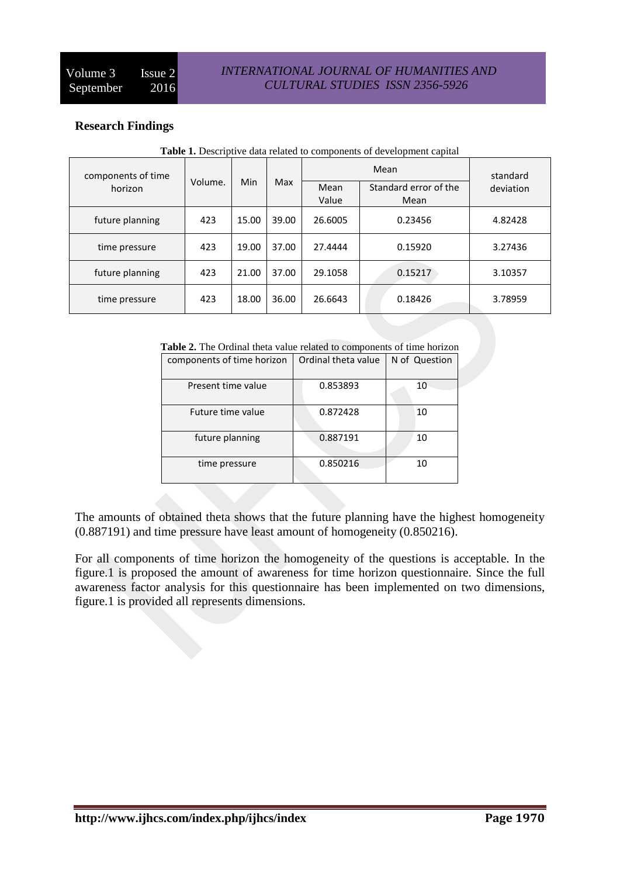## **Research Findings**

| components of time |         | <b>Min</b> | Max   |               | standard                      |           |
|--------------------|---------|------------|-------|---------------|-------------------------------|-----------|
| horizon            | Volume. |            |       | Mean<br>Value | Standard error of the<br>Mean | deviation |
| future planning    | 423     | 15.00      | 39.00 | 26.6005       | 0.23456                       | 4.82428   |
| time pressure      | 423     | 19.00      | 37.00 | 27.4444       | 0.15920                       | 3.27436   |
| future planning    | 423     | 21.00      | 37.00 | 29.1058       | 0.15217                       | 3.10357   |
| time pressure      | 423     | 18.00      | 36.00 | 26.6643       | 0.18426                       | 3.78959   |

**Table 1.** Descriptive data related to components of development capital

| Table 2. The Ordinal theta value related to components of time horizon |  |  |  |  |  |  |
|------------------------------------------------------------------------|--|--|--|--|--|--|
|                                                                        |  |  |  |  |  |  |

| components of time horizon | Ordinal theta value | N of Question |
|----------------------------|---------------------|---------------|
| Present time value         | 0.853893            | 10            |
| Future time value          | 0.872428            | 10            |
| future planning            | 0.887191            | 10            |
| time pressure              | 0.850216            | 10            |

The amounts of obtained theta shows that the future planning have the highest homogeneity (0.887191) and time pressure have least amount of homogeneity (0.850216).

For all components of time horizon the homogeneity of the questions is acceptable. In the figure.1 is proposed the amount of awareness for time horizon questionnaire. Since the full awareness factor analysis for this questionnaire has been implemented on two dimensions, figure.1 is provided all represents dimensions.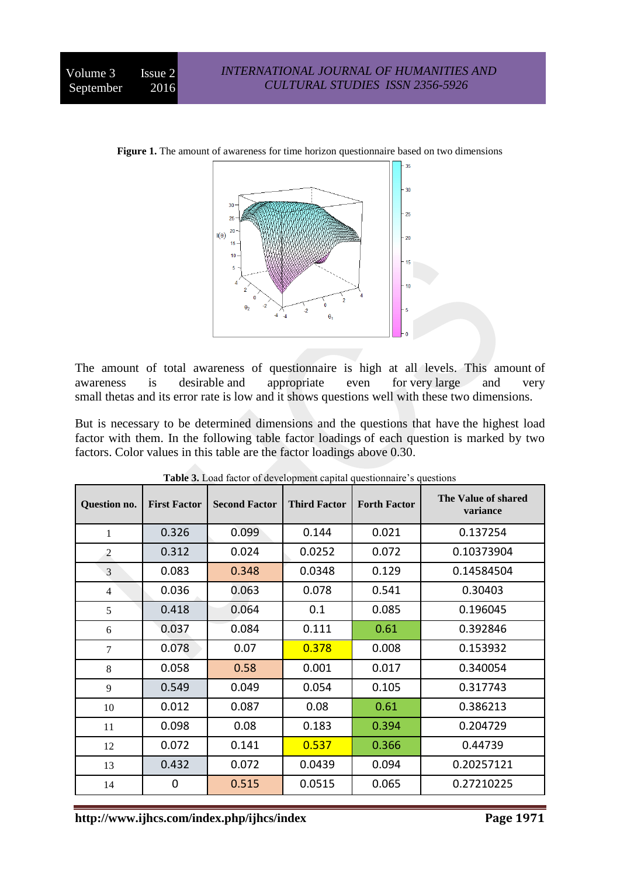

**Figure 1.** The amount of awareness for time horizon questionnaire based on two dimensions

The amount of total awareness of questionnaire is high at all levels. This amount of awareness is desirable and appropriate even for very large and very small thetas and its error rate is low and it shows questions well with these two dimensions.

But is necessary to be determined dimensions and the questions that have the highest load factor with them. In the following table factor loadings of each question is marked by two factors. Color values in this table are the factor loadings above 0.30.

| Question no.   | <b>First Factor</b> | <b>Second Factor</b> | <b>Third Factor</b> | <b>Forth Factor</b> | The Value of shared<br>variance |
|----------------|---------------------|----------------------|---------------------|---------------------|---------------------------------|
| 1              | 0.326               | 0.099                | 0.144               | 0.021               | 0.137254                        |
| $\overline{2}$ | 0.312               | 0.024                | 0.0252              | 0.072               | 0.10373904                      |
| 3              | 0.083               | 0.348                | 0.0348              | 0.129               | 0.14584504                      |
| $\overline{4}$ | 0.036               | 0.063                | 0.078               | 0.541               | 0.30403                         |
| 5              | 0.418               | 0.064                | 0.1                 | 0.085               | 0.196045                        |
| 6              | 0.037               | 0.084                | 0.111               | 0.61                | 0.392846                        |
| 7              | 0.078               | 0.07                 | 0.378               | 0.008               | 0.153932                        |
| 8              | 0.058               | 0.58                 | 0.001               | 0.017               | 0.340054                        |
| 9              | 0.549               | 0.049                | 0.054               | 0.105               | 0.317743                        |
| 10             | 0.012               | 0.087                | 0.08                | 0.61                | 0.386213                        |
| 11             | 0.098               | 0.08                 | 0.183               | 0.394               | 0.204729                        |
| 12             | 0.072               | 0.141                | 0.537               | 0.366               | 0.44739                         |
| 13             | 0.432               | 0.072                | 0.0439              | 0.094               | 0.20257121                      |
| 14             | 0                   | 0.515                | 0.0515              | 0.065               | 0.27210225                      |

**Table 3.** Load factor of development capital questionnaire's questions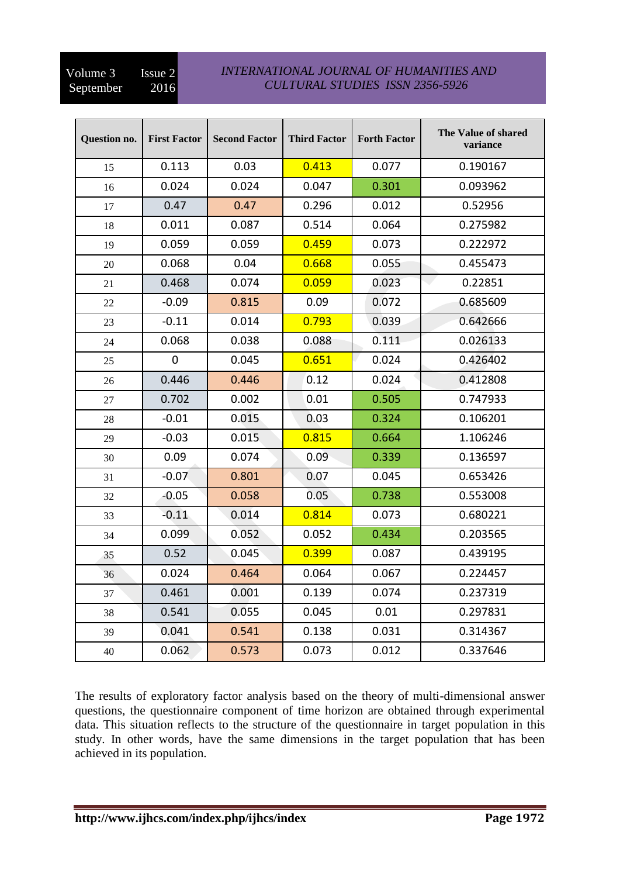## Volume 3 Issue 2<br>September 2016 September

## *INTERNATIONAL JOURNAL OF HUMANITIES AND CULTURAL STUDIES ISSN 2356-5926*

| <b>Ouestion no.</b> | <b>First Factor</b> | <b>Second Factor</b> | <b>Third Factor</b> | <b>Forth Factor</b> | The Value of shared<br>variance |
|---------------------|---------------------|----------------------|---------------------|---------------------|---------------------------------|
| 15                  | 0.113               | 0.03                 | 0.413               | 0.077               | 0.190167                        |
| 16                  | 0.024               | 0.024                | 0.047               | 0.301               | 0.093962                        |
| 17                  | 0.47                | 0.47                 | 0.296               | 0.012               | 0.52956                         |
| 18                  | 0.011               | 0.087                | 0.514               | 0.064               | 0.275982                        |
| 19                  | 0.059               | 0.059                | 0.459               | 0.073               | 0.222972                        |
| 20                  | 0.068               | 0.04                 | 0.668               | 0.055               | 0.455473                        |
| 21                  | 0.468               | 0.074                | 0.059               | 0.023               | 0.22851                         |
| 22                  | $-0.09$             | 0.815                | 0.09                | 0.072               | 0.685609                        |
| 23                  | $-0.11$             | 0.014                | 0.793               | 0.039               | 0.642666                        |
| 24                  | 0.068               | 0.038                | 0.088               | 0.111               | 0.026133                        |
| 25                  | $\mathbf 0$         | 0.045                | 0.651               | 0.024               | 0.426402                        |
| 26                  | 0.446               | 0.446                | 0.12                | 0.024               | 0.412808                        |
| 27                  | 0.702               | 0.002                | 0.01                | 0.505               | 0.747933                        |
| 28                  | $-0.01$             | 0.015                | 0.03                | 0.324               | 0.106201                        |
| 29                  | $-0.03$             | 0.015                | 0.815               | 0.664               | 1.106246                        |
| 30                  | 0.09                | 0.074                | 0.09                | 0.339               | 0.136597                        |
| 31                  | $-0.07$             | 0.801                | 0.07                | 0.045               | 0.653426                        |
| 32                  | $-0.05$             | 0.058                | 0.05                | 0.738               | 0.553008                        |
| 33                  | $-0.11$             | 0.014                | 0.814               | 0.073               | 0.680221                        |
| 34                  | 0.099               | 0.052                | 0.052               | 0.434               | 0.203565                        |
| 35                  | 0.52                | 0.045                | 0.399               | 0.087               | 0.439195                        |
| 36                  | 0.024               | 0.464                | 0.064               | 0.067               | 0.224457                        |
| 37                  | 0.461               | 0.001                | 0.139               | 0.074               | 0.237319                        |
| 38                  | 0.541               | 0.055                | 0.045               | 0.01                | 0.297831                        |
| 39                  | 0.041               | 0.541                | 0.138               | 0.031               | 0.314367                        |
| 40                  | 0.062               | 0.573                | 0.073               | 0.012               | 0.337646                        |

The results of exploratory factor analysis based on the theory of multi-dimensional answer questions, the questionnaire component of time horizon are obtained through experimental data. This situation reflects to the structure of the questionnaire in target population in this study. In other words, have the same dimensions in the target population that has been achieved in its population.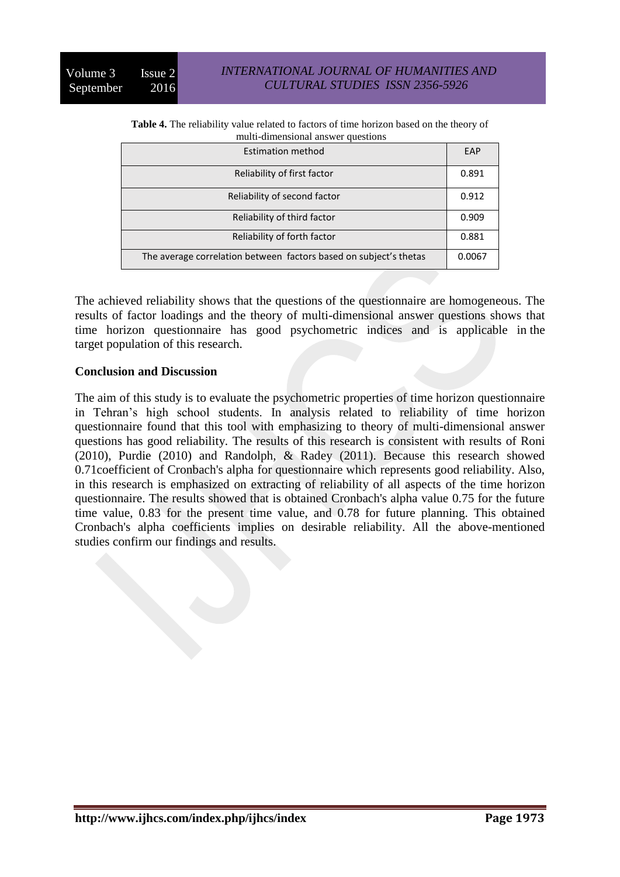**Table 4.** The reliability value related to factors of time horizon based on the theory of multi-dimensional answer questions

| <b>Estimation method</b>                                          | EAP    |
|-------------------------------------------------------------------|--------|
| Reliability of first factor                                       | 0.891  |
| Reliability of second factor                                      | 0.912  |
| Reliability of third factor                                       | 0.909  |
| Reliability of forth factor                                       | 0.881  |
| The average correlation between factors based on subject's thetas | 0.0067 |

The achieved reliability shows that the questions of the questionnaire are homogeneous. The results of factor loadings and the theory of multi-dimensional answer questions shows that time horizon questionnaire has good psychometric indices and is applicable in the target population of this research.

## **Conclusion and Discussion**

The aim of this study is to evaluate the psychometric properties of time horizon questionnaire in Tehran's high school students. In analysis related to reliability of time horizon questionnaire found that this tool with emphasizing to theory of multi-dimensional answer questions has good reliability. The results of this research is consistent with results of Roni (2010), Purdie (2010) and Randolph, & Radey (2011). Because this research showed 0.71coefficient of Cronbach's alpha for questionnaire which represents good reliability. Also, in this research is emphasized on extracting of reliability of all aspects of the time horizon questionnaire. The results showed that is obtained Cronbach's alpha value 0.75 for the future time value, 0.83 for the present time value, and 0.78 for future planning. This obtained Cronbach's alpha coefficients implies on desirable reliability. All the above-mentioned studies confirm our findings and results.